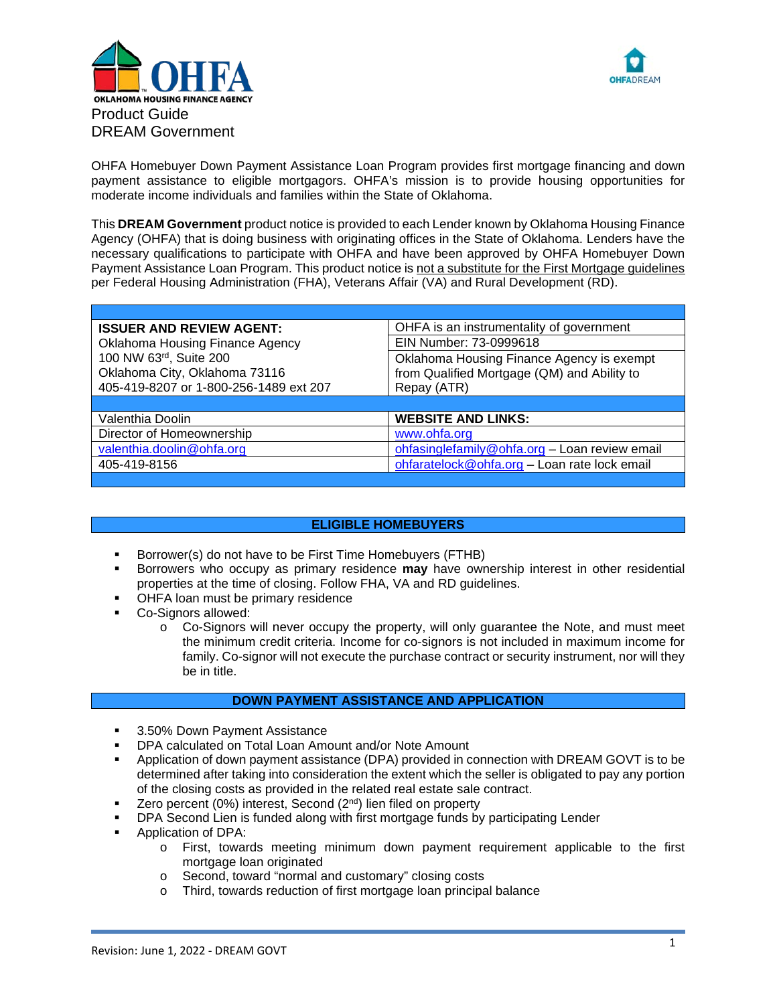



OHFA Homebuyer Down Payment Assistance Loan Program provides first mortgage financing and down payment assistance to eligible mortgagors. OHFA's mission is to provide housing opportunities for moderate income individuals and families within the State of Oklahoma.

This **DREAM Government** product notice is provided to each Lender known by Oklahoma Housing Finance Agency (OHFA) that is doing business with originating offices in the State of Oklahoma. Lenders have the necessary qualifications to participate with OHFA and have been approved by OHFA Homebuyer Down Payment Assistance Loan Program. This product notice is not a substitute for the First Mortgage guidelines per Federal Housing Administration (FHA), Veterans Affair (VA) and Rural Development (RD).

| <b>ISSUER AND REVIEW AGENT:</b>        | OHFA is an instrumentality of government                                                 |  |  |
|----------------------------------------|------------------------------------------------------------------------------------------|--|--|
| Oklahoma Housing Finance Agency        | EIN Number: 73-0999618                                                                   |  |  |
| 100 NW 63rd, Suite 200                 | Oklahoma Housing Finance Agency is exempt<br>from Qualified Mortgage (QM) and Ability to |  |  |
| Oklahoma City, Oklahoma 73116          |                                                                                          |  |  |
| 405-419-8207 or 1-800-256-1489 ext 207 | Repay (ATR)                                                                              |  |  |
|                                        |                                                                                          |  |  |
|                                        |                                                                                          |  |  |
| Valenthia Doolin                       | <b>WEBSITE AND LINKS:</b>                                                                |  |  |
| Director of Homeownership              | www.ohfa.org                                                                             |  |  |
| valenthia.doolin@ohfa.org              | ohfasinglefamily@ohfa.org - Loan review email                                            |  |  |
| 405-419-8156                           | ohfaratelock@ohfa.org - Loan rate lock email                                             |  |  |

# **ELIGIBLE HOMEBUYERS**

- Borrower(s) do not have to be First Time Homebuyers (FTHB)
- Borrowers who occupy as primary residence **may** have ownership interest in other residential properties at the time of closing. Follow FHA, VA and RD guidelines.
- OHFA loan must be primary residence
- Co-Signors allowed:
	- o Co-Signors will never occupy the property, will only guarantee the Note, and must meet the minimum credit criteria. Income for co-signors is not included in maximum income for family. Co-signor will not execute the purchase contract or security instrument, nor will they be in title.

# **DOWN PAYMENT ASSISTANCE AND APPLICATION**

- 3.50% Down Payment Assistance
- DPA calculated on Total Loan Amount and/or Note Amount
- Application of down payment assistance (DPA) provided in connection with DREAM GOVT is to be determined after taking into consideration the extent which the seller is obligated to pay any portion of the closing costs as provided in the related real estate sale contract.
- Zero percent (0%) interest, Second (2nd) lien filed on property
- DPA Second Lien is funded along with first mortgage funds by participating Lender
- **Application of DPA:** 
	- o First, towards meeting minimum down payment requirement applicable to the first mortgage loan originated
	- o Second, toward "normal and customary" closing costs<br>
	o Third, towards reduction of first mortaage loan principa
	- Third, towards reduction of first mortgage loan principal balance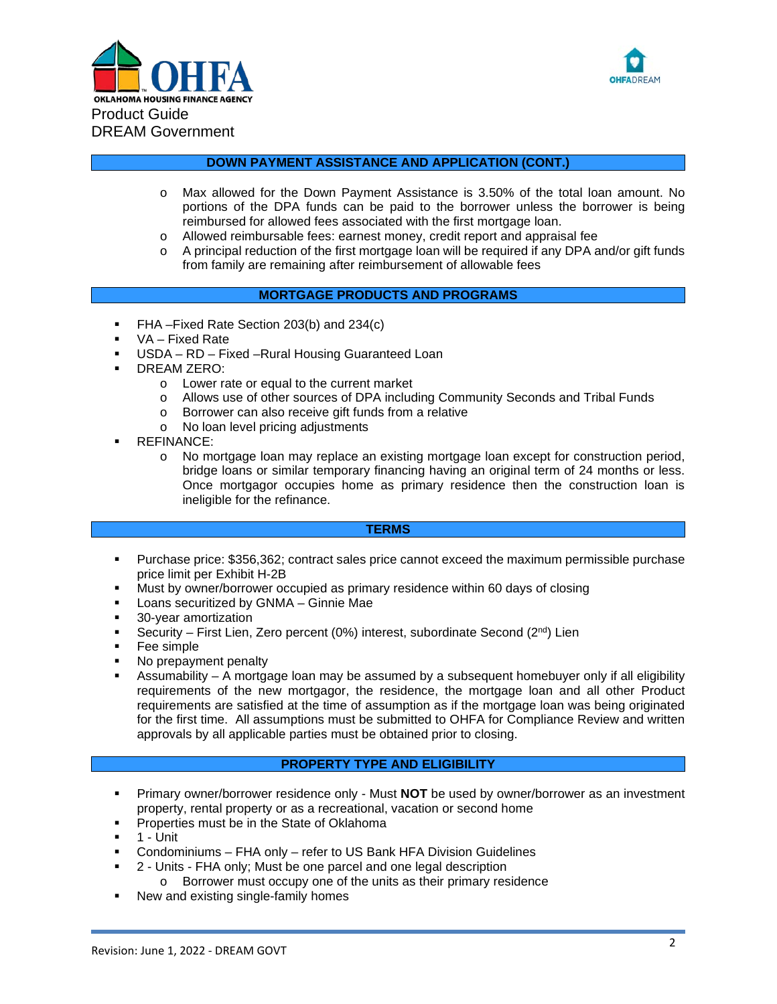



# **DOWN PAYMENT ASSISTANCE AND APPLICATION (CONT.)**

- o Max allowed for the Down Payment Assistance is 3.50% of the total loan amount. No portions of the DPA funds can be paid to the borrower unless the borrower is being reimbursed for allowed fees associated with the first mortgage loan.
- o Allowed reimbursable fees: earnest money, credit report and appraisal fee
- o A principal reduction of the first mortgage loan will be required if any DPA and/or gift funds from family are remaining after reimbursement of allowable fees

# **MORTGAGE PRODUCTS AND PROGRAMS**

- FHA –Fixed Rate Section 203(b) and 234(c)
- VA Fixed Rate
- USDA RD Fixed –Rural Housing Guaranteed Loan
- DREAM ZERO:
	- o Lower rate or equal to the current market
	- o Allows use of other sources of DPA including Community Seconds and Tribal Funds
	- o Borrower can also receive gift funds from a relative
	- o No loan level pricing adjustments
- REFINANCE:
	- o No mortgage loan may replace an existing mortgage loan except for construction period, bridge loans or similar temporary financing having an original term of 24 months or less. Once mortgagor occupies home as primary residence then the construction loan is ineligible for the refinance.

## **TERMS**

- Purchase price: \$356,362; contract sales price cannot exceed the maximum permissible purchase price limit per Exhibit H-2B
- Must by owner/borrower occupied as primary residence within 60 days of closing
- Loans securitized by GNMA Ginnie Mae
- **30-year amortization**
- Security First Lien, Zero percent  $(0\%)$  interest, subordinate Second  $(2^{nd})$  Lien
- Fee simple
- No prepayment penalty
- Assumability A mortgage loan may be assumed by a subsequent homebuyer only if all eligibility requirements of the new mortgagor, the residence, the mortgage loan and all other Product requirements are satisfied at the time of assumption as if the mortgage loan was being originated for the first time. All assumptions must be submitted to OHFA for Compliance Review and written approvals by all applicable parties must be obtained prior to closing.

# **PROPERTY TYPE AND ELIGIBILITY**

- **Primary owner/borrower residence only Must NOT** be used by owner/borrower as an investment property, rental property or as a recreational, vacation or second home
- Properties must be in the State of Oklahoma
- $-1$  Unit
- Condominiums FHA only refer to US Bank HFA Division Guidelines
- 2 Units FHA only; Must be one parcel and one legal description
	- o Borrower must occupy one of the units as their primary residence
- New and existing single-family homes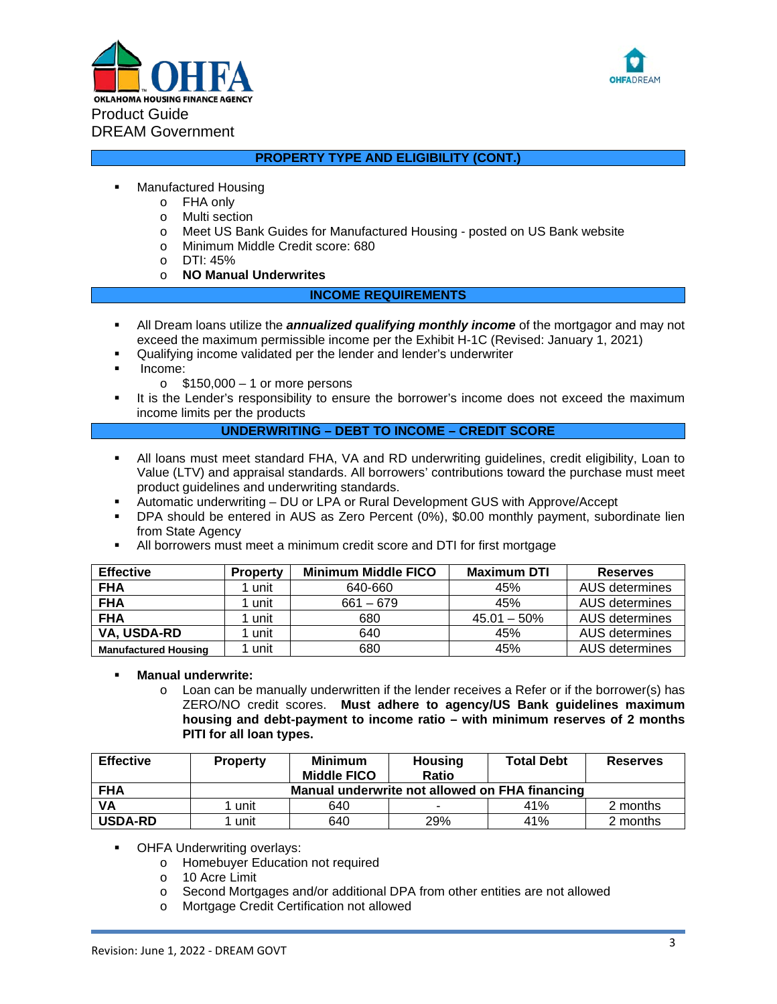



# **PROPERTY TYPE AND ELIGIBILITY (CONT.)**

- Manufactured Housing
	- o FHA only
		- o Multi section
		- o Meet US Bank Guides for Manufactured Housing posted on US Bank website<br>
		o Minimum Middle Credit score: 680
		- Minimum Middle Credit score: 680
		- o DTI: 45%
		- o **NO Manual Underwrites**

## **INCOME REQUIREMENTS**

- All Dream loans utilize the *annualized qualifying monthly income* of the mortgagor and may not exceed the maximum permissible income per the Exhibit H-1C (Revised: January 1, 2021)
- Qualifying income validated per the lender and lender's underwriter
- Income:
	- $\circ$  \$150,000 1 or more persons
- It is the Lender's responsibility to ensure the borrower's income does not exceed the maximum income limits per the products

## **UNDERWRITING – DEBT TO INCOME – CREDIT SCORE**

- All loans must meet standard FHA, VA and RD underwriting guidelines, credit eligibility, Loan to Value (LTV) and appraisal standards. All borrowers' contributions toward the purchase must meet product guidelines and underwriting standards.
- Automatic underwriting DU or LPA or Rural Development GUS with Approve/Accept
- DPA should be entered in AUS as Zero Percent (0%), \$0.00 monthly payment, subordinate lien from State Agency
- All borrowers must meet a minimum credit score and DTI for first mortgage

| <b>Effective</b>                  | <b>Property</b> | <b>Minimum Middle FICO</b> | <b>Maximum DTI</b> | <b>Reserves</b>       |
|-----------------------------------|-----------------|----------------------------|--------------------|-----------------------|
| <b>FHA</b>                        | unit            | 640-660                    | 45%                | AUS determines        |
| <b>FHA</b><br>unit<br>$661 - 679$ |                 |                            | 45%                | AUS determines        |
| <b>FHA</b>                        | unit<br>680     |                            | $45.01 - 50\%$     | AUS determines        |
| VA, USDA-RD                       | unit            | 640                        | 45%                | <b>AUS determines</b> |
| <b>Manufactured Housing</b>       | unit            | 680                        | 45%                | AUS determines        |

## **Manual underwrite:**

 $\circ$  Loan can be manually underwritten if the lender receives a Refer or if the borrower(s) has ZERO/NO credit scores. **Must adhere to agency/US Bank guidelines maximum housing and debt**‐**payment to income ratio – with minimum reserves of 2 months PITI for all loan types.**

| <b>Effective</b> | <b>Property</b>                                | Minimum<br><b>Middle FICO</b> | Housing<br><b>Ratio</b> | <b>Total Debt</b> | <b>Reserves</b> |  |
|------------------|------------------------------------------------|-------------------------------|-------------------------|-------------------|-----------------|--|
| <b>FHA</b>       | Manual underwrite not allowed on FHA financing |                               |                         |                   |                 |  |
| <b>VA</b>        | unit                                           | 640                           |                         | 41%               | 2 months        |  |
| <b>USDA-RD</b>   | unit                                           | 640                           | 29%                     | 41%               | 2 months        |  |

- OHFA Underwriting overlays:
	- o Homebuyer Education not required
	- o 10 Acre Limit
	- o Second Mortgages and/or additional DPA from other entities are not allowed
	- o Mortgage Credit Certification not allowed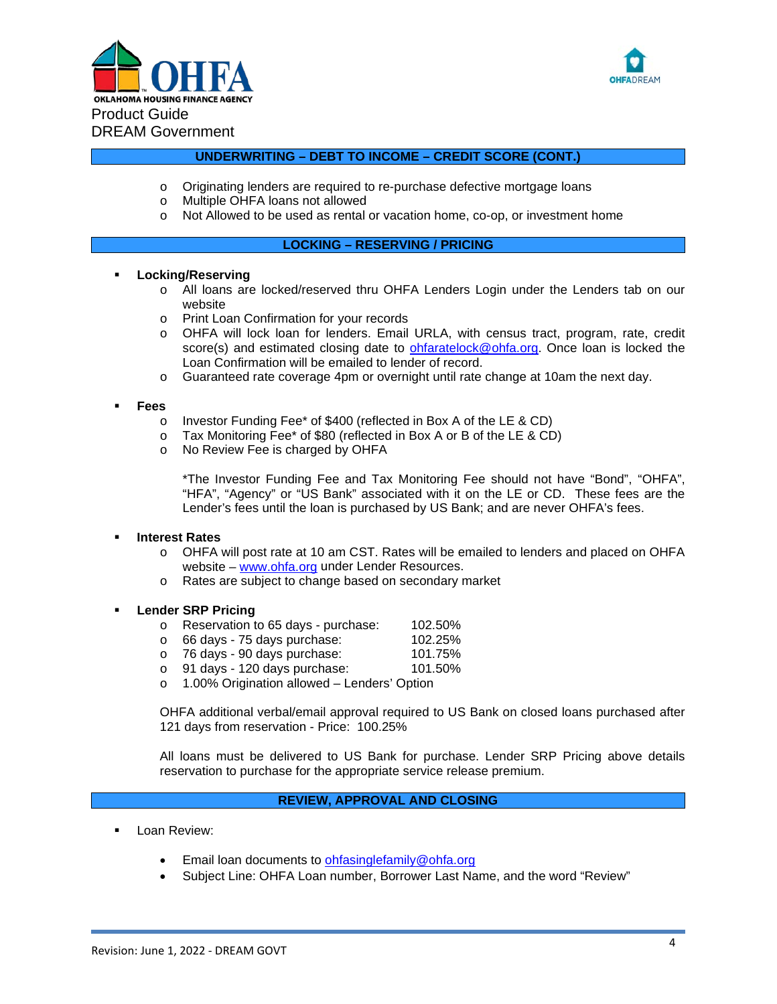



## **UNDERWRITING – DEBT TO INCOME – CREDIT SCORE (CONT.)**

- o Originating lenders are required to re-purchase defective mortgage loans<br>o Multiple OHFA loans not allowed
- o Multiple OHFA loans not allowed<br>o Not Allowed to be used as rental
- Not Allowed to be used as rental or vacation home, co-op, or investment home

## **LOCKING – RESERVING / PRICING**

#### **Locking/Reserving**

- o All loans are locked/reserved thru OHFA Lenders Login under the Lenders tab on our website
- o Print Loan Confirmation for your records
- o OHFA will lock loan for lenders. Email URLA, with census tract, program, rate, credit score(s) and estimated closing date to [ohfaratelock@ohfa.org.](mailto:ohfaratelock@ohfa.org) Once loan is locked the Loan Confirmation will be emailed to lender of record.
- o Guaranteed rate coverage 4pm or overnight until rate change at 10am the next day.

#### **Fees**

- o Investor Funding Fee\* of \$400 (reflected in Box A of the LE & CD)
- o Tax Monitoring Fee\* of \$80 (reflected in Box A or B of the LE & CD)
- o No Review Fee is charged by OHFA

\*The Investor Funding Fee and Tax Monitoring Fee should not have "Bond", "OHFA", "HFA", "Agency" or "US Bank" associated with it on the LE or CD. These fees are the Lender's fees until the loan is purchased by US Bank; and are never OHFA's fees.

## **Interest Rates**

- o OHFA will post rate at 10 am CST. Rates will be emailed to lenders and placed on OHFA website – [www.ohfa.org](http://www.ohfa.org/) under Lender Resources.
- o Rates are subject to change based on secondary market

## **Lender SRP Pricing**

- o Reservation to 65 days purchase:  $102.50\%$ <br>o 66 days 75 days purchase:  $102.25\%$
- o 66 days 75 days purchase: 102.25%<br>c 76 days 90 days purchase: 101.75%
- 
- o 76 days 90 days purchase: 101.75%  $\circ$  91 days - 120 days purchase:
- o 1.00% Origination allowed Lenders' Option

OHFA additional verbal/email approval required to US Bank on closed loans purchased after 121 days from reservation - Price: 100.25%

All loans must be delivered to US Bank for purchase. Lender SRP Pricing above details reservation to purchase for the appropriate service release premium.

## **REVIEW, APPROVAL AND CLOSING**

- Loan Review:
	- Email loan documents to [ohfasinglefamily@ohfa.org](mailto:ohfasinglefamily@ohfa.org)
	- Subject Line: OHFA Loan number, Borrower Last Name, and the word "Review"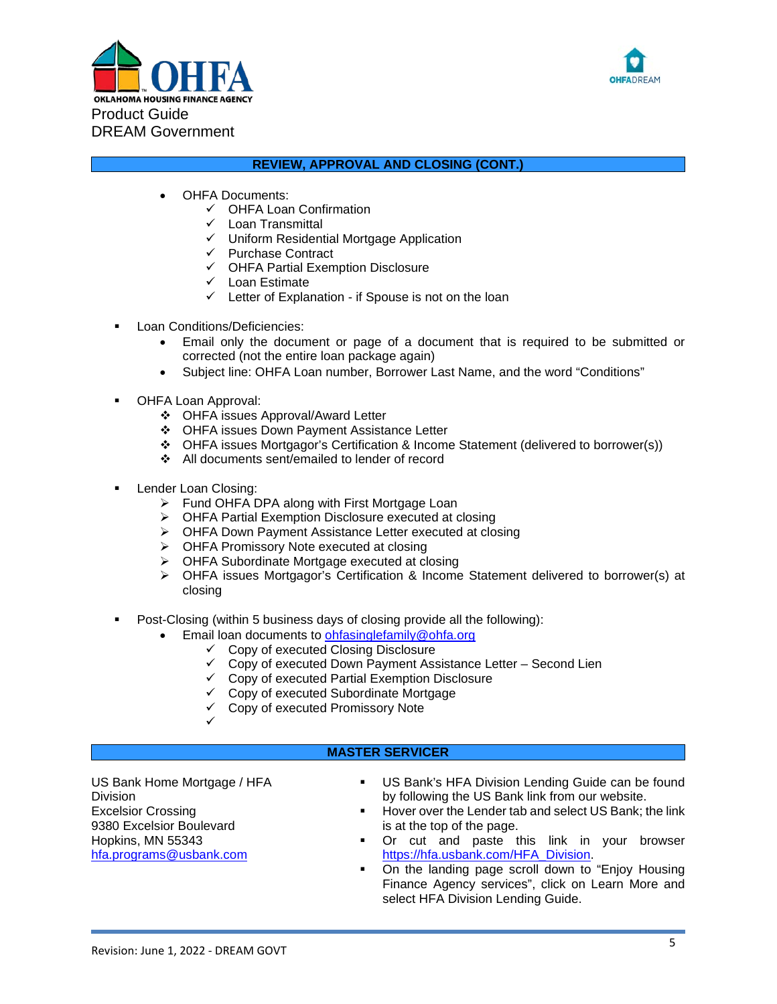



# **REVIEW, APPROVAL AND CLOSING (CONT.)**

- OHFA Documents:
	- $\checkmark$  OHFA Loan Confirmation
	- $\checkmark$  Loan Transmittal
	- $\checkmark$  Uniform Residential Mortgage Application
	- $\checkmark$  Purchase Contract
	- $\checkmark$  OHFA Partial Exemption Disclosure
	- $\checkmark$  Loan Estimate
	- $\checkmark$  Letter of Explanation if Spouse is not on the loan
- Loan Conditions/Deficiencies:
	- Email only the document or page of a document that is required to be submitted or corrected (not the entire loan package again)
	- Subject line: OHFA Loan number, Borrower Last Name, and the word "Conditions"
- OHFA Loan Approval:
	- OHFA issues Approval/Award Letter
	- ◆ OHFA issues Down Payment Assistance Letter
	- OHFA issues Mortgagor's Certification & Income Statement (delivered to borrower(s))
	- All documents sent/emailed to lender of record
- Lender Loan Closing:
	- ▶ Fund OHFA DPA along with First Mortgage Loan
	- OHFA Partial Exemption Disclosure executed at closing
	- ▶ OHFA Down Payment Assistance Letter executed at closing
	- OHFA Promissory Note executed at closing
	- OHFA Subordinate Mortgage executed at closing
	- OHFA issues Mortgagor's Certification & Income Statement delivered to borrower(s) at closing
- Post-Closing (within 5 business days of closing provide all the following):
	- Email loan documents to [ohfasinglefamily@ohfa.org](mailto:ohfasinglefamily@ohfa.org)
		- $\checkmark$  Copy of executed Closing Disclosure
		- $\checkmark$  Copy of executed Down Payment Assistance Letter Second Lien
		- $\checkmark$  Copy of executed Partial Exemption Disclosure
		- Copy of executed Subordinate Mortgage
		- $\checkmark$  Copy of executed Promissory Note
		- $\checkmark$

# **MASTER SERVICER**

US Bank Home Mortgage / HFA Division Excelsior Crossing 9380 Excelsior Boulevard Hopkins, MN 55343 [hfa.programs@usbank.com](mailto:hfa.programs@usbank.com)

- US Bank's HFA Division Lending Guide can be found by following the US Bank link from our website.
- **Hover over the Lender tab and select US Bank; the link** is at the top of the page.
- Or cut and paste this link in your browser [https://hfa.usbank.com/HFA\\_Division.](https://hfa.usbank.com/HFA_Division)
- On the landing page scroll down to "Enjoy Housing" Finance Agency services", click on Learn More and select HFA Division Lending Guide.